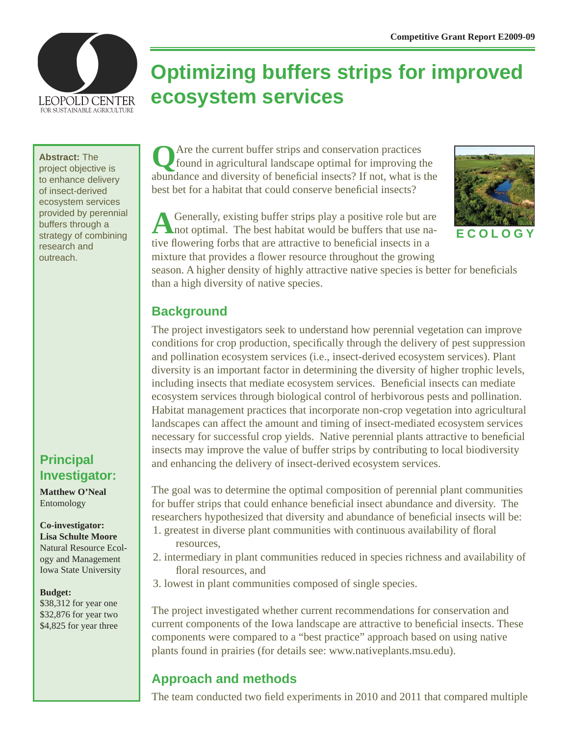

# **Optimizing buffers strips for improved ecosystem services**

#### **Abstract:** The

project objective is to enhance delivery of insect-derived ecosystem services provided by perennial buffers through a strategy of combining research and outreach.

## **Principal Investigator:**

**Matthew O'Neal** Entomology

#### **Co-investigator: Lisa Schulte Moore** Natural Resource Ecology and Management Iowa State University

#### **Budget:**

\$38,312 for year one \$32,876 for year two \$4,825 for year three

**Q**Are the current buffer strips and conservation practices found in agricultural landscape optimal for improving the abundance and diversity of beneficial insects? If not, what is the best bet for a habitat that could conserve beneficial insects?



A Generally, existing buffer strips play a positive role but are not optimal. The best habitat would be buffers that use native flowering forbs that are attractive to beneficial insects in a mixture that provides a flower resource throughout the growing

season. A higher density of highly attractive native species is better for beneficials than a high diversity of native species.

#### **Background**

The project investigators seek to understand how perennial vegetation can improve conditions for crop production, specifically through the delivery of pest suppression and pollination ecosystem services (i.e., insect-derived ecosystem services). Plant diversity is an important factor in determining the diversity of higher trophic levels, including insects that mediate ecosystem services. Beneficial insects can mediate ecosystem services through biological control of herbivorous pests and pollination. Habitat management practices that incorporate non-crop vegetation into agricultural landscapes can affect the amount and timing of insect-mediated ecosystem services necessary for successful crop yields. Native perennial plants attractive to beneficial insects may improve the value of buffer strips by contributing to local biodiversity and enhancing the delivery of insect-derived ecosystem services.

The goal was to determine the optimal composition of perennial plant communities for buffer strips that could enhance beneficial insect abundance and diversity. The researchers hypothesized that diversity and abundance of beneficial insects will be:

- 1. greatest in diverse plant communities with continuous availability of floral resources,
- 2. intermediary in plant communities reduced in species richness and availability of floral resources, and
- 3. lowest in plant communities composed of single species.

The project investigated whether current recommendations for conservation and current components of the Iowa landscape are attractive to beneficial insects. These components were compared to a "best practice" approach based on using native plants found in prairies (for details see: www.nativeplants.msu.edu).

# **Approach and methods**

The team conducted two field experiments in 2010 and 2011 that compared multiple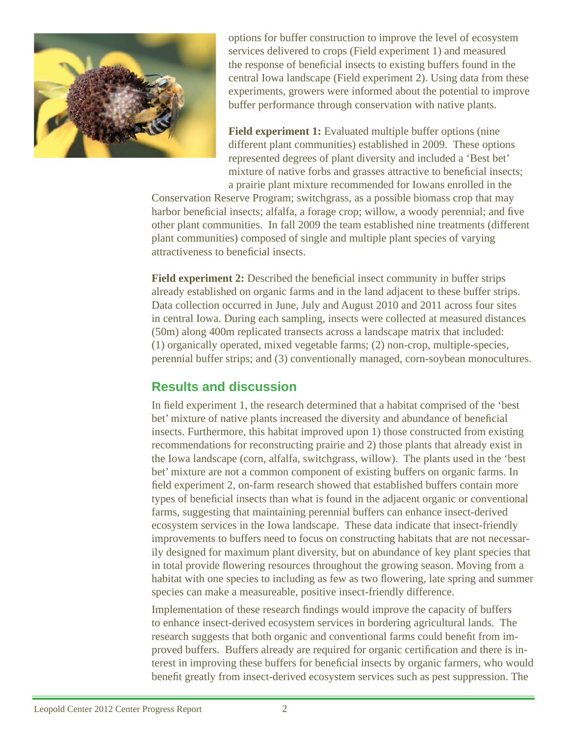

options for buffer construction to improve the level of ecosystem services delivered to crops (Field experiment 1) and measured the response of beneficial insects to existing buffers found in the central Iowa landscape (Field experiment 2). Using data from these experiments, growers were informed about the potential to improve buffer performance through conservation with native plants.

**Field experiment 1:** Evaluated multiple buffer options (nine) different plant communities) established in 2009. These options represented degrees of plant diversity and included a 'Best bet' mixture of native forbs and grasses attractive to beneficial insects; a prairie plant mixture recommended for Iowans enrolled in the

Conservation Reserve Program; switchgrass, as a possible biomass crop that may harbor beneficial insects; alfalfa, a forage crop; willow, a woody perennial; and five other plant communities. In fall 2009 the team established nine treatments (different plant communities) composed of single and multiple plant species of varying attractiveness to beneficial insects.

**Field experiment 2:** Described the beneficial insect community in buffer strips already established on organic farms and in the land adjacent to these buffer strips. Data collection occurred in June, July and August 2010 and 2011 across four sites in central Iowa. During each sampling, insects were collected at measured distances (50m) along 400m replicated transects across a landscape matrix that included: (1) organically operated, mixed vegetable farms; (2) non-crop, multiple-species, perennial buffer strips; and (3) conventionally managed, corn-soybean monocultures.

## **Results and discussion**

In field experiment 1, the research determined that a habitat comprised of the 'best bet' mixture of native plants increased the diversity and abundance of beneficial insects. Furthermore, this habitat improved upon 1) those constructed from existing recommendations for reconstructing prairie and 2) those plants that already exist in the Iowa landscape (corn, alfalfa, switchgrass, willow). The plants used in the 'best bet' mixture are not a common component of existing buffers on organic farms. In field experiment 2, on-farm research showed that established buffers contain more types of beneficial insects than what is found in the adjacent organic or conventional farms, suggesting that maintaining perennial buffers can enhance insect-derived ecosystem services in the Iowa landscape. These data indicate that insect-friendly improvements to buffers need to focus on constructing habitats that are not necessarily designed for maximum plant diversity, but on abundance of key plant species that in total provide flowering resources throughout the growing season. Moving from a habitat with one species to including as few as two flowering, late spring and summer species can make a measureable, positive insect-friendly difference.

Implementation of these research findings would improve the capacity of buffers to enhance insect-derived ecosystem services in bordering agricultural lands. The research suggests that both organic and conventional farms could benefit from improved buffers. Buffers already are required for organic certification and there is interest in improving these buffers for beneficial insects by organic farmers, who would benefit greatly from insect-derived ecosystem services such as pest suppression. The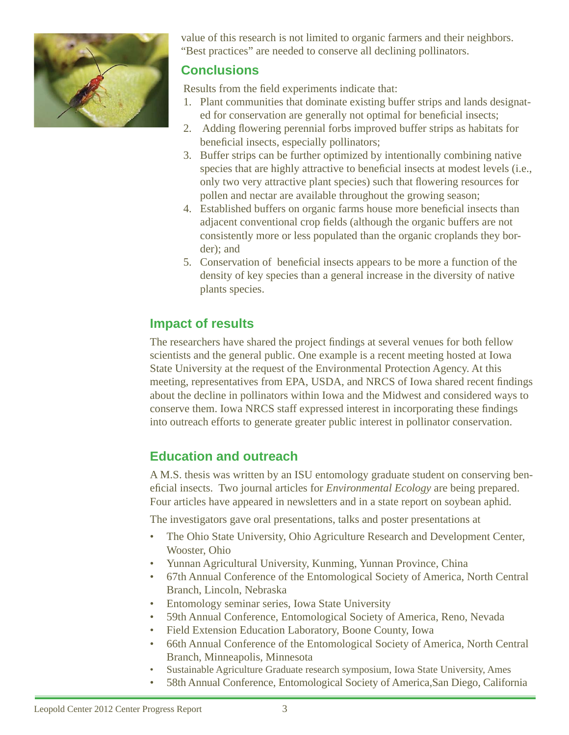

value of this research is not limited to organic farmers and their neighbors. "Best practices" are needed to conserve all declining pollinators.

### **Conclusions**

Results from the field experiments indicate that:

- 1. Plant communities that dominate existing buffer strips and lands designated for conservation are generally not optimal for beneficial insects;
- 2. Adding flowering perennial forbs improved buffer strips as habitats for beneficial insects, especially pollinators;
- 3. Buffer strips can be further optimized by intentionally combining native species that are highly attractive to beneficial insects at modest levels (i.e., only two very attractive plant species) such that flowering resources for pollen and nectar are available throughout the growing season;
- 4. Established buffers on organic farms house more beneficial insects than adjacent conventional crop fields (although the organic buffers are not consistently more or less populated than the organic croplands they border); and
- 5. Conservation of beneficial insects appears to be more a function of the density of key species than a general increase in the diversity of native plants species.

## **Impact of results**

The researchers have shared the project findings at several venues for both fellow scientists and the general public. One example is a recent meeting hosted at Iowa State University at the request of the Environmental Protection Agency. At this meeting, representatives from EPA, USDA, and NRCS of Iowa shared recent findings about the decline in pollinators within Iowa and the Midwest and considered ways to conserve them. Iowa NRCS staff expressed interest in incorporating these findings into outreach efforts to generate greater public interest in pollinator conservation.

# **Education and outreach**

A M.S. thesis was written by an ISU entomology graduate student on conserving beneficial insects. Two journal articles for *Environmental Ecology* are being prepared. Four articles have appeared in newsletters and in a state report on soybean aphid.

The investigators gave oral presentations, talks and poster presentations at

- The Ohio State University, Ohio Agriculture Research and Development Center, Wooster, Ohio
- Yunnan Agricultural University, Kunming, Yunnan Province, China
- 67th Annual Conference of the Entomological Society of America, North Central Branch, Lincoln, Nebraska
- Entomology seminar series, Iowa State University
- 59th Annual Conference, Entomological Society of America, Reno, Nevada
- Field Extension Education Laboratory, Boone County, Iowa
- 66th Annual Conference of the Entomological Society of America, North Central Branch, Minneapolis, Minnesota
- Sustainable Agriculture Graduate research symposium, Iowa State University, Ames
- 58th Annual Conference, Entomological Society of America,San Diego, California